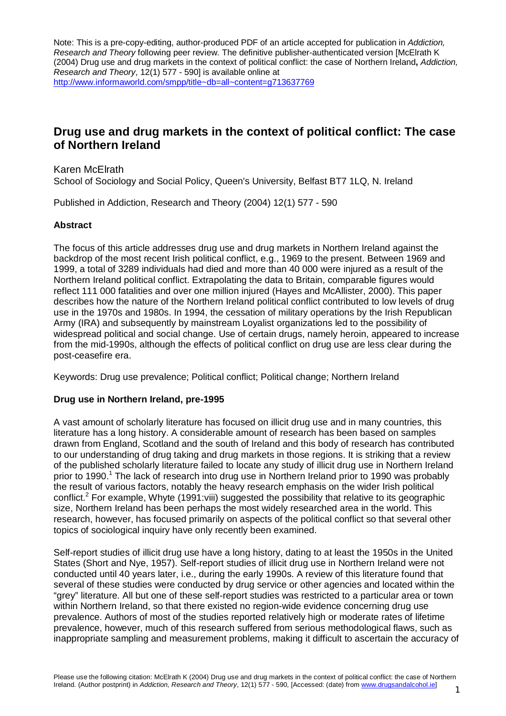Note: This is a pre-copy-editing, author-produced PDF of an article accepted for publication in *Addiction, Research and Theory* following peer review. The definitive publisher-authenticated version [McElrath K (2004) Drug use and drug markets in the context of political conflict: the case of Northern Ireland**,** *Addiction, Research and Theory*, 12(1) 577 - 590] is available online at http://www.informaworld.com/smpp/title~db=all~content=g713637769

# **Drug use and drug markets in the context of political conflict: The case of Northern Ireland**

Karen McElrath School of Sociology and Social Policy, Queen's University, Belfast BT7 1LQ, N. Ireland

Published in Addiction, Research and Theory (2004) 12(1) 577 - 590

## **Abstract**

The focus of this article addresses drug use and drug markets in Northern Ireland against the backdrop of the most recent Irish political conflict, e.g., 1969 to the present. Between 1969 and 1999, a total of 3289 individuals had died and more than 40 000 were injured as a result of the Northern Ireland political conflict. Extrapolating the data to Britain, comparable figures would reflect 111 000 fatalities and over one million injured (Hayes and McAllister, 2000). This paper describes how the nature of the Northern Ireland political conflict contributed to low levels of drug use in the 1970s and 1980s. In 1994, the cessation of military operations by the Irish Republican Army (IRA) and subsequently by mainstream Loyalist organizations led to the possibility of widespread political and social change. Use of certain drugs, namely heroin, appeared to increase from the mid-1990s, although the effects of political conflict on drug use are less clear during the post-ceasefire era.

Keywords: Drug use prevalence; Political conflict; Political change; Northern Ireland

## **Drug use in Northern Ireland, pre-1995**

A vast amount of scholarly literature has focused on illicit drug use and in many countries, this literature has a long history. A considerable amount of research has been based on samples drawn from England, Scotland and the south of Ireland and this body of research has contributed to our understanding of drug taking and drug markets in those regions. It is striking that a review of the published scholarly literature failed to locate any study of illicit drug use in Northern Ireland prior to 1990.<sup>1</sup> The lack of research into drug use in Northern Ireland prior to 1990 was probably the result of various factors, notably the heavy research emphasis on the wider Irish political conflict.<sup>2</sup> For example, Whyte (1991:viii) suggested the possibility that relative to its geographic size, Northern Ireland has been perhaps the most widely researched area in the world. This research, however, has focused primarily on aspects of the political conflict so that several other topics of sociological inquiry have only recently been examined.

Self-report studies of illicit drug use have a long history, dating to at least the 1950s in the United States (Short and Nye, 1957). Self-report studies of illicit drug use in Northern Ireland were not conducted until 40 years later, i.e., during the early 1990s. A review of this literature found that several of these studies were conducted by drug service or other agencies and located within the "grey" literature. All but one of these self-report studies was restricted to a particular area or town within Northern Ireland, so that there existed no region-wide evidence concerning drug use prevalence. Authors of most of the studies reported relatively high or moderate rates of lifetime prevalence, however, much of this research suffered from serious methodological flaws, such as inappropriate sampling and measurement problems, making it difficult to ascertain the accuracy of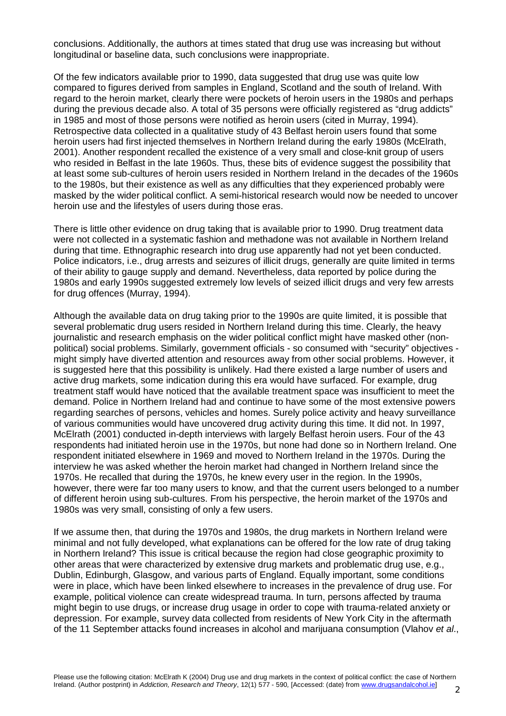conclusions. Additionally, the authors at times stated that drug use was increasing but without longitudinal or baseline data, such conclusions were inappropriate.

Of the few indicators available prior to 1990, data suggested that drug use was quite low compared to figures derived from samples in England, Scotland and the south of Ireland. With regard to the heroin market, clearly there were pockets of heroin users in the 1980s and perhaps during the previous decade also. A total of 35 persons were officially registered as "drug addicts" in 1985 and most of those persons were notified as heroin users (cited in Murray, 1994). Retrospective data collected in a qualitative study of 43 Belfast heroin users found that some heroin users had first injected themselves in Northern Ireland during the early 1980s (McElrath, 2001). Another respondent recalled the existence of a very small and close-knit group of users who resided in Belfast in the late 1960s. Thus, these bits of evidence suggest the possibility that at least some sub-cultures of heroin users resided in Northern Ireland in the decades of the 1960s to the 1980s, but their existence as well as any difficulties that they experienced probably were masked by the wider political conflict. A semi-historical research would now be needed to uncover heroin use and the lifestyles of users during those eras.

There is little other evidence on drug taking that is available prior to 1990. Drug treatment data were not collected in a systematic fashion and methadone was not available in Northern Ireland during that time. Ethnographic research into drug use apparently had not yet been conducted. Police indicators, i.e., drug arrests and seizures of illicit drugs, generally are quite limited in terms of their ability to gauge supply and demand. Nevertheless, data reported by police during the 1980s and early 1990s suggested extremely low levels of seized illicit drugs and very few arrests for drug offences (Murray, 1994).

Although the available data on drug taking prior to the 1990s are quite limited, it is possible that several problematic drug users resided in Northern Ireland during this time. Clearly, the heavy journalistic and research emphasis on the wider political conflict might have masked other (nonpolitical) social problems. Similarly, government officials - so consumed with "security" objectives might simply have diverted attention and resources away from other social problems. However, it is suggested here that this possibility is unlikely. Had there existed a large number of users and active drug markets, some indication during this era would have surfaced. For example, drug treatment staff would have noticed that the available treatment space was insufficient to meet the demand. Police in Northern Ireland had and continue to have some of the most extensive powers regarding searches of persons, vehicles and homes. Surely police activity and heavy surveillance of various communities would have uncovered drug activity during this time. It did not. In 1997, McElrath (2001) conducted in-depth interviews with largely Belfast heroin users. Four of the 43 respondents had initiated heroin use in the 1970s, but none had done so in Northern Ireland. One respondent initiated elsewhere in 1969 and moved to Northern Ireland in the 1970s. During the interview he was asked whether the heroin market had changed in Northern Ireland since the 1970s. He recalled that during the 1970s, he knew every user in the region. In the 1990s, however, there were far too many users to know, and that the current users belonged to a number of different heroin using sub-cultures. From his perspective, the heroin market of the 1970s and 1980s was very small, consisting of only a few users.

If we assume then, that during the 1970s and 1980s, the drug markets in Northern Ireland were minimal and not fully developed, what explanations can be offered for the low rate of drug taking in Northern Ireland? This issue is critical because the region had close geographic proximity to other areas that were characterized by extensive drug markets and problematic drug use, e.g., Dublin, Edinburgh, Glasgow, and various parts of England. Equally important, some conditions were in place, which have been linked elsewhere to increases in the prevalence of drug use. For example, political violence can create widespread trauma. In turn, persons affected by trauma might begin to use drugs, or increase drug usage in order to cope with trauma-related anxiety or depression. For example, survey data collected from residents of New York City in the aftermath of the 11 September attacks found increases in alcohol and marijuana consumption (Vlahov *et al*.,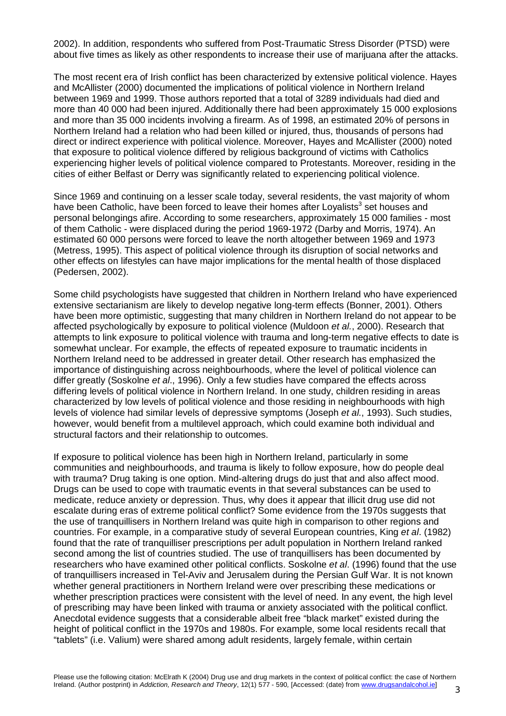2002). In addition, respondents who suffered from Post-Traumatic Stress Disorder (PTSD) were about five times as likely as other respondents to increase their use of marijuana after the attacks.

The most recent era of Irish conflict has been characterized by extensive political violence. Hayes and McAllister (2000) documented the implications of political violence in Northern Ireland between 1969 and 1999. Those authors reported that a total of 3289 individuals had died and more than 40 000 had been injured. Additionally there had been approximately 15 000 explosions and more than 35 000 incidents involving a firearm. As of 1998, an estimated 20% of persons in Northern Ireland had a relation who had been killed or injured, thus, thousands of persons had direct or indirect experience with political violence. Moreover, Hayes and McAllister (2000) noted that exposure to political violence differed by religious background of victims with Catholics experiencing higher levels of political violence compared to Protestants. Moreover, residing in the cities of either Belfast or Derry was significantly related to experiencing political violence.

Since 1969 and continuing on a lesser scale today, several residents, the vast majority of whom have been Catholic, have been forced to leave their homes after Loyalists<sup>3</sup> set houses and personal belongings afire. According to some researchers, approximately 15 000 families - most of them Catholic - were displaced during the period 1969-1972 (Darby and Morris, 1974). An estimated 60 000 persons were forced to leave the north altogether between 1969 and 1973 (Metress, 1995). This aspect of political violence through its disruption of social networks and other effects on lifestyles can have major implications for the mental health of those displaced (Pedersen, 2002).

Some child psychologists have suggested that children in Northern Ireland who have experienced extensive sectarianism are likely to develop negative long-term effects (Bonner, 2001). Others have been more optimistic, suggesting that many children in Northern Ireland do not appear to be affected psychologically by exposure to political violence (Muldoon *et al.*, 2000). Research that attempts to link exposure to political violence with trauma and long-term negative effects to date is somewhat unclear. For example, the effects of repeated exposure to traumatic incidents in Northern Ireland need to be addressed in greater detail. Other research has emphasized the importance of distinguishing across neighbourhoods, where the level of political violence can differ greatly (Soskolne *et al*., 1996). Only a few studies have compared the effects across differing levels of political violence in Northern Ireland. In one study, children residing in areas characterized by low levels of political violence and those residing in neighbourhoods with high levels of violence had similar levels of depressive symptoms (Joseph *et al.*, 1993). Such studies, however, would benefit from a multilevel approach, which could examine both individual and structural factors and their relationship to outcomes.

If exposure to political violence has been high in Northern Ireland, particularly in some communities and neighbourhoods, and trauma is likely to follow exposure, how do people deal with trauma? Drug taking is one option. Mind-altering drugs do just that and also affect mood. Drugs can be used to cope with traumatic events in that several substances can be used to medicate, reduce anxiety or depression. Thus, why does it appear that illicit drug use did not escalate during eras of extreme political conflict? Some evidence from the 1970s suggests that the use of tranquillisers in Northern Ireland was quite high in comparison to other regions and countries. For example, in a comparative study of several European countries, King *et al*. (1982) found that the rate of tranquilliser prescriptions per adult population in Northern Ireland ranked second among the list of countries studied. The use of tranquillisers has been documented by researchers who have examined other political conflicts. Soskolne *et al*. (1996) found that the use of tranquillisers increased in Tel-Aviv and Jerusalem during the Persian Gulf War. It is not known whether general practitioners in Northern Ireland were over prescribing these medications or whether prescription practices were consistent with the level of need. In any event, the high level of prescribing may have been linked with trauma or anxiety associated with the political conflict. Anecdotal evidence suggests that a considerable albeit free "black market" existed during the height of political conflict in the 1970s and 1980s. For example, some local residents recall that "tablets" (i.e. Valium) were shared among adult residents, largely female, within certain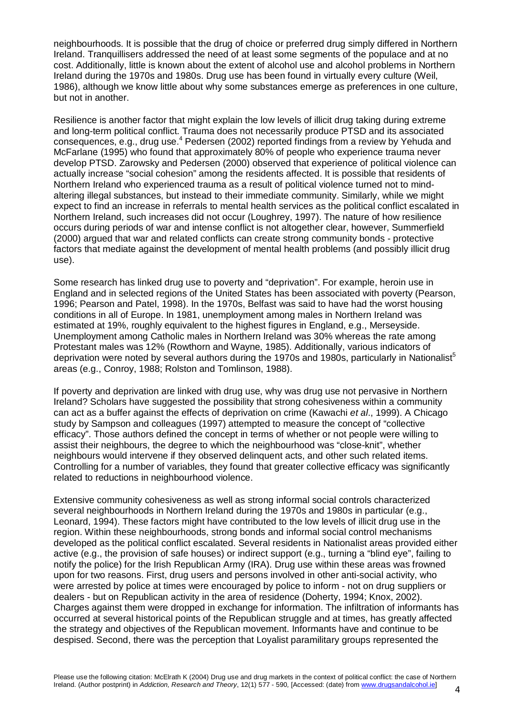neighbourhoods. It is possible that the drug of choice or preferred drug simply differed in Northern Ireland. Tranquillisers addressed the need of at least some segments of the populace and at no cost. Additionally, little is known about the extent of alcohol use and alcohol problems in Northern Ireland during the 1970s and 1980s. Drug use has been found in virtually every culture (Weil, 1986), although we know little about why some substances emerge as preferences in one culture, but not in another.

Resilience is another factor that might explain the low levels of illicit drug taking during extreme and long-term political conflict. Trauma does not necessarily produce PTSD and its associated consequences, e.g., drug use.<sup>4</sup> Pedersen (2002) reported findings from a review by Yehuda and McFarlane (1995) who found that approximately 80% of people who experience trauma never develop PTSD. Zarowsky and Pedersen (2000) observed that experience of political violence can actually increase "social cohesion" among the residents affected. It is possible that residents of Northern Ireland who experienced trauma as a result of political violence turned not to mindaltering illegal substances, but instead to their immediate community. Similarly, while we might expect to find an increase in referrals to mental health services as the political conflict escalated in Northern Ireland, such increases did not occur (Loughrey, 1997). The nature of how resilience occurs during periods of war and intense conflict is not altogether clear, however, Summerfield (2000) argued that war and related conflicts can create strong community bonds - protective factors that mediate against the development of mental health problems (and possibly illicit drug use).

Some research has linked drug use to poverty and "deprivation". For example, heroin use in England and in selected regions of the United States has been associated with poverty (Pearson, 1996; Pearson and Patel, 1998). In the 1970s, Belfast was said to have had the worst housing conditions in all of Europe. In 1981, unemployment among males in Northern Ireland was estimated at 19%, roughly equivalent to the highest figures in England, e.g., Merseyside. Unemployment among Catholic males in Northern Ireland was 30% whereas the rate among Protestant males was 12% (Rowthorn and Wayne, 1985). Additionally, various indicators of deprivation were noted by several authors during the 1970s and 1980s, particularly in Nationalist<sup>5</sup> areas (e.g., Conroy, 1988; Rolston and Tomlinson, 1988).

If poverty and deprivation are linked with drug use, why was drug use not pervasive in Northern Ireland? Scholars have suggested the possibility that strong cohesiveness within a community can act as a buffer against the effects of deprivation on crime (Kawachi *et al*., 1999). A Chicago study by Sampson and colleagues (1997) attempted to measure the concept of "collective efficacy". Those authors defined the concept in terms of whether or not people were willing to assist their neighbours, the degree to which the neighbourhood was "close-knit", whether neighbours would intervene if they observed delinquent acts, and other such related items. Controlling for a number of variables, they found that greater collective efficacy was significantly related to reductions in neighbourhood violence.

Extensive community cohesiveness as well as strong informal social controls characterized several neighbourhoods in Northern Ireland during the 1970s and 1980s in particular (e.g., Leonard, 1994). These factors might have contributed to the low levels of illicit drug use in the region. Within these neighbourhoods, strong bonds and informal social control mechanisms developed as the political conflict escalated. Several residents in Nationalist areas provided either active (e.g., the provision of safe houses) or indirect support (e.g., turning a "blind eye", failing to notify the police) for the Irish Republican Army (IRA). Drug use within these areas was frowned upon for two reasons. First, drug users and persons involved in other anti-social activity, who were arrested by police at times were encouraged by police to inform - not on drug suppliers or dealers - but on Republican activity in the area of residence (Doherty, 1994; Knox, 2002). Charges against them were dropped in exchange for information. The infiltration of informants has occurred at several historical points of the Republican struggle and at times, has greatly affected the strategy and objectives of the Republican movement. Informants have and continue to be despised. Second, there was the perception that Loyalist paramilitary groups represented the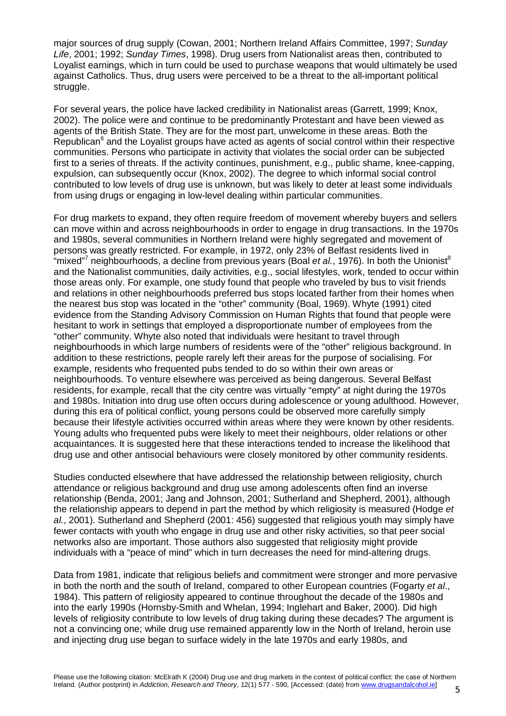major sources of drug supply (Cowan, 2001; Northern Ireland Affairs Committee, 1997; *Sunday Life*, 2001; 1992; *Sunday Times*, 1998). Drug users from Nationalist areas then, contributed to Loyalist earnings, which in turn could be used to purchase weapons that would ultimately be used against Catholics. Thus, drug users were perceived to be a threat to the all-important political struggle.

For several years, the police have lacked credibility in Nationalist areas (Garrett, 1999; Knox, 2002). The police were and continue to be predominantly Protestant and have been viewed as agents of the British State. They are for the most part, unwelcome in these areas. Both the Republican<sup>6</sup> and the Loyalist groups have acted as agents of social control within their respective communities. Persons who participate in activity that violates the social order can be subjected first to a series of threats. If the activity continues, punishment, e.g., public shame, knee-capping, expulsion, can subsequently occur (Knox, 2002). The degree to which informal social control contributed to low levels of drug use is unknown, but was likely to deter at least some individuals from using drugs or engaging in low-level dealing within particular communities.

For drug markets to expand, they often require freedom of movement whereby buyers and sellers can move within and across neighbourhoods in order to engage in drug transactions. In the 1970s and 1980s, several communities in Northern Ireland were highly segregated and movement of persons was greatly restricted. For example, in 1972, only 23% of Belfast residents lived in "mixed"<sup>7</sup> neighbourhoods, a decline from previous years (Boal *et al.*, 1976). In both the Unionist<sup>8</sup> and the Nationalist communities, daily activities, e.g., social lifestyles, work, tended to occur within those areas only. For example, one study found that people who traveled by bus to visit friends and relations in other neighbourhoods preferred bus stops located farther from their homes when the nearest bus stop was located in the "other" community (Boal, 1969). Whyte (1991) cited evidence from the Standing Advisory Commission on Human Rights that found that people were hesitant to work in settings that employed a disproportionate number of employees from the "other" community. Whyte also noted that individuals were hesitant to travel through neighbourhoods in which large numbers of residents were of the "other" religious background. In addition to these restrictions, people rarely left their areas for the purpose of socialising. For example, residents who frequented pubs tended to do so within their own areas or neighbourhoods. To venture elsewhere was perceived as being dangerous. Several Belfast residents, for example, recall that the city centre was virtually "empty" at night during the 1970s and 1980s. Initiation into drug use often occurs during adolescence or young adulthood. However, during this era of political conflict, young persons could be observed more carefully simply because their lifestyle activities occurred within areas where they were known by other residents. Young adults who frequented pubs were likely to meet their neighbours, older relations or other acquaintances. It is suggested here that these interactions tended to increase the likelihood that drug use and other antisocial behaviours were closely monitored by other community residents.

Studies conducted elsewhere that have addressed the relationship between religiosity, church attendance or religious background and drug use among adolescents often find an inverse relationship (Benda, 2001; Jang and Johnson, 2001; Sutherland and Shepherd, 2001), although the relationship appears to depend in part the method by which religiosity is measured (Hodge *et al.*, 2001). Sutherland and Shepherd (2001: 456) suggested that religious youth may simply have fewer contacts with youth who engage in drug use and other risky activities, so that peer social networks also are important. Those authors also suggested that religiosity might provide individuals with a "peace of mind" which in turn decreases the need for mind-altering drugs.

Data from 1981, indicate that religious beliefs and commitment were stronger and more pervasive in both the north and the south of Ireland, compared to other European countries (Fogarty *et al*., 1984). This pattern of religiosity appeared to continue throughout the decade of the 1980s and into the early 1990s (Hornsby-Smith and Whelan, 1994; Inglehart and Baker, 2000). Did high levels of religiosity contribute to low levels of drug taking during these decades? The argument is not a convincing one; while drug use remained apparently low in the North of Ireland, heroin use and injecting drug use began to surface widely in the late 1970s and early 1980s, and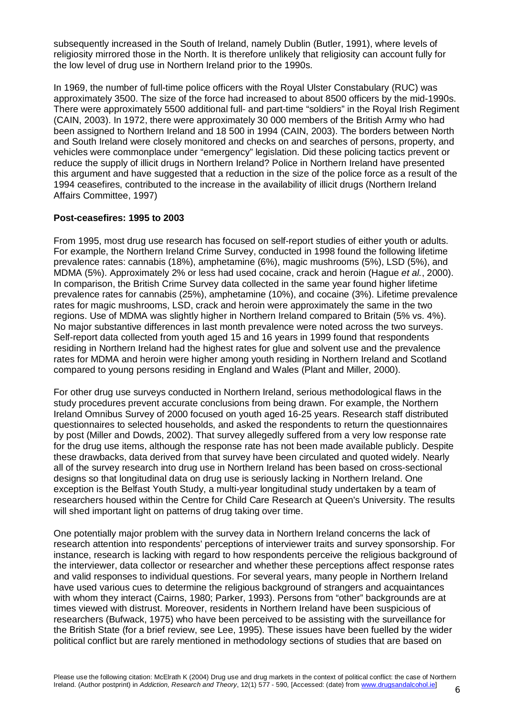subsequently increased in the South of Ireland, namely Dublin (Butler, 1991), where levels of religiosity mirrored those in the North. It is therefore unlikely that religiosity can account fully for the low level of drug use in Northern Ireland prior to the 1990s.

In 1969, the number of full-time police officers with the Royal Ulster Constabulary (RUC) was approximately 3500. The size of the force had increased to about 8500 officers by the mid-1990s. There were approximately 5500 additional full- and part-time "soldiers" in the Royal Irish Regiment (CAIN, 2003). In 1972, there were approximately 30 000 members of the British Army who had been assigned to Northern Ireland and 18 500 in 1994 (CAIN, 2003). The borders between North and South Ireland were closely monitored and checks on and searches of persons, property, and vehicles were commonplace under "emergency" legislation. Did these policing tactics prevent or reduce the supply of illicit drugs in Northern Ireland? Police in Northern Ireland have presented this argument and have suggested that a reduction in the size of the police force as a result of the 1994 ceasefires, contributed to the increase in the availability of illicit drugs (Northern Ireland Affairs Committee, 1997)

## **Post-ceasefires: 1995 to 2003**

From 1995, most drug use research has focused on self-report studies of either youth or adults. For example, the Northern Ireland Crime Survey, conducted in 1998 found the following lifetime prevalence rates: cannabis (18%), amphetamine (6%), magic mushrooms (5%), LSD (5%), and MDMA (5%). Approximately 2% or less had used cocaine, crack and heroin (Hague *et al.*, 2000). In comparison, the British Crime Survey data collected in the same year found higher lifetime prevalence rates for cannabis (25%), amphetamine (10%), and cocaine (3%). Lifetime prevalence rates for magic mushrooms, LSD, crack and heroin were approximately the same in the two regions. Use of MDMA was slightly higher in Northern Ireland compared to Britain (5% vs. 4%). No major substantive differences in last month prevalence were noted across the two surveys. Self-report data collected from youth aged 15 and 16 years in 1999 found that respondents residing in Northern Ireland had the highest rates for glue and solvent use and the prevalence rates for MDMA and heroin were higher among youth residing in Northern Ireland and Scotland compared to young persons residing in England and Wales (Plant and Miller, 2000).

For other drug use surveys conducted in Northern Ireland, serious methodological flaws in the study procedures prevent accurate conclusions from being drawn. For example, the Northern Ireland Omnibus Survey of 2000 focused on youth aged 16-25 years. Research staff distributed questionnaires to selected households, and asked the respondents to return the questionnaires by post (Miller and Dowds, 2002). That survey allegedly suffered from a very low response rate for the drug use items, although the response rate has not been made available publicly. Despite these drawbacks, data derived from that survey have been circulated and quoted widely. Nearly all of the survey research into drug use in Northern Ireland has been based on cross-sectional designs so that longitudinal data on drug use is seriously lacking in Northern Ireland. One exception is the Belfast Youth Study, a multi-year longitudinal study undertaken by a team of researchers housed within the Centre for Child Care Research at Queen's University. The results will shed important light on patterns of drug taking over time.

One potentially major problem with the survey data in Northern Ireland concerns the lack of research attention into respondents' perceptions of interviewer traits and survey sponsorship. For instance, research is lacking with regard to how respondents perceive the religious background of the interviewer, data collector or researcher and whether these perceptions affect response rates and valid responses to individual questions. For several years, many people in Northern Ireland have used various cues to determine the religious background of strangers and acquaintances with whom they interact (Cairns, 1980; Parker, 1993). Persons from "other" backgrounds are at times viewed with distrust. Moreover, residents in Northern Ireland have been suspicious of researchers (Bufwack, 1975) who have been perceived to be assisting with the surveillance for the British State (for a brief review, see Lee, 1995). These issues have been fuelled by the wider political conflict but are rarely mentioned in methodology sections of studies that are based on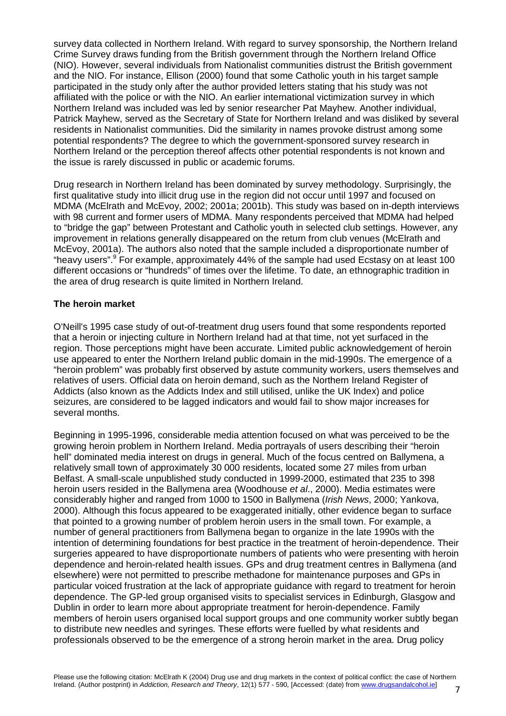survey data collected in Northern Ireland. With regard to survey sponsorship, the Northern Ireland Crime Survey draws funding from the British government through the Northern Ireland Office (NIO). However, several individuals from Nationalist communities distrust the British government and the NIO. For instance, Ellison (2000) found that some Catholic youth in his target sample participated in the study only after the author provided letters stating that his study was not affiliated with the police or with the NIO. An earlier international victimization survey in which Northern Ireland was included was led by senior researcher Pat Mayhew. Another individual, Patrick Mayhew, served as the Secretary of State for Northern Ireland and was disliked by several residents in Nationalist communities. Did the similarity in names provoke distrust among some potential respondents? The degree to which the government-sponsored survey research in Northern Ireland or the perception thereof affects other potential respondents is not known and the issue is rarely discussed in public or academic forums.

Drug research in Northern Ireland has been dominated by survey methodology. Surprisingly, the first qualitative study into illicit drug use in the region did not occur until 1997 and focused on MDMA (McElrath and McEvoy, 2002; 2001a; 2001b). This study was based on in-depth interviews with 98 current and former users of MDMA. Many respondents perceived that MDMA had helped to "bridge the gap" between Protestant and Catholic youth in selected club settings. However, any improvement in relations generally disappeared on the return from club venues (McElrath and McEvoy, 2001a). The authors also noted that the sample included a disproportionate number of "heavy users".<sup>9</sup> For example, approximately 44% of the sample had used Ecstasy on at least 100 different occasions or "hundreds" of times over the lifetime. To date, an ethnographic tradition in the area of drug research is quite limited in Northern Ireland.

#### **The heroin market**

O'Neill's 1995 case study of out-of-treatment drug users found that some respondents reported that a heroin or injecting culture in Northern Ireland had at that time, not yet surfaced in the region. Those perceptions might have been accurate. Limited public acknowledgement of heroin use appeared to enter the Northern Ireland public domain in the mid-1990s. The emergence of a "heroin problem" was probably first observed by astute community workers, users themselves and relatives of users. Official data on heroin demand, such as the Northern Ireland Register of Addicts (also known as the Addicts Index and still utilised, unlike the UK Index) and police seizures, are considered to be lagged indicators and would fail to show major increases for several months.

Beginning in 1995-1996, considerable media attention focused on what was perceived to be the growing heroin problem in Northern Ireland. Media portrayals of users describing their "heroin hell" dominated media interest on drugs in general. Much of the focus centred on Ballymena, a relatively small town of approximately 30 000 residents, located some 27 miles from urban Belfast. A small-scale unpublished study conducted in 1999-2000, estimated that 235 to 398 heroin users resided in the Ballymena area (Woodhouse *et al*., 2000). Media estimates were considerably higher and ranged from 1000 to 1500 in Ballymena (*Irish News*, 2000; Yankova, 2000). Although this focus appeared to be exaggerated initially, other evidence began to surface that pointed to a growing number of problem heroin users in the small town. For example, a number of general practitioners from Ballymena began to organize in the late 1990s with the intention of determining foundations for best practice in the treatment of heroin-dependence. Their surgeries appeared to have disproportionate numbers of patients who were presenting with heroin dependence and heroin-related health issues. GPs and drug treatment centres in Ballymena (and elsewhere) were not permitted to prescribe methadone for maintenance purposes and GPs in particular voiced frustration at the lack of appropriate guidance with regard to treatment for heroin dependence. The GP-led group organised visits to specialist services in Edinburgh, Glasgow and Dublin in order to learn more about appropriate treatment for heroin-dependence. Family members of heroin users organised local support groups and one community worker subtly began to distribute new needles and syringes. These efforts were fuelled by what residents and professionals observed to be the emergence of a strong heroin market in the area. Drug policy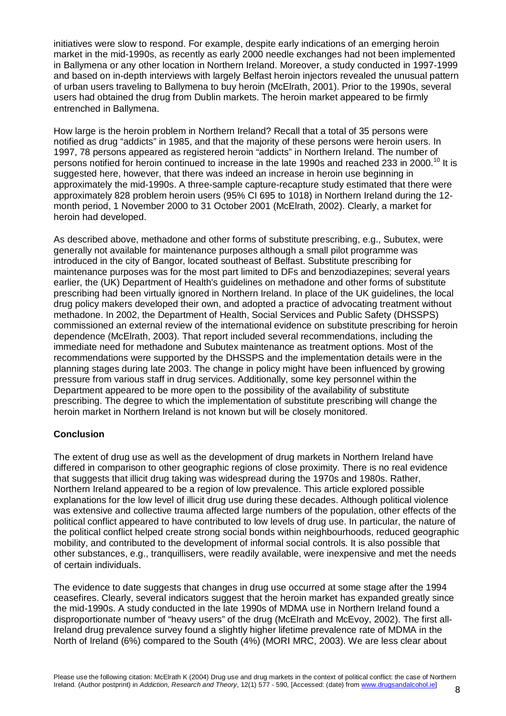initiatives were slow to respond. For example, despite early indications of an emerging heroin market in the mid-1990s, as recently as early 2000 needle exchanges had not been implemented in Ballymena or any other location in Northern Ireland. Moreover, a study conducted in 1997-1999 and based on in-depth interviews with largely Belfast heroin injectors revealed the unusual pattern of urban users traveling to Ballymena to buy heroin (McElrath, 2001). Prior to the 1990s, several users had obtained the drug from Dublin markets. The heroin market appeared to be firmly entrenched in Ballymena.

How large is the heroin problem in Northern Ireland? Recall that a total of 35 persons were notified as drug "addicts" in 1985, and that the majority of these persons were heroin users. In 1997, 78 persons appeared as registered heroin "addicts" in Northern Ireland. The number of persons notified for heroin continued to increase in the late 1990s and reached 233 in 2000.<sup>10</sup> It is suggested here, however, that there was indeed an increase in heroin use beginning in approximately the mid-1990s. A three-sample capture-recapture study estimated that there were approximately 828 problem heroin users (95% CI 695 to 1018) in Northern Ireland during the 12 month period, 1 November 2000 to 31 October 2001 (McElrath, 2002). Clearly, a market for heroin had developed.

As described above, methadone and other forms of substitute prescribing, e.g., Subutex, were generally not available for maintenance purposes although a small pilot programme was introduced in the city of Bangor, located southeast of Belfast. Substitute prescribing for maintenance purposes was for the most part limited to DFs and benzodiazepines; several years earlier, the (UK) Department of Health's guidelines on methadone and other forms of substitute prescribing had been virtually ignored in Northern Ireland. In place of the UK guidelines, the local drug policy makers developed their own, and adopted a practice of advocating treatment without methadone. In 2002, the Department of Health, Social Services and Public Safety (DHSSPS) commissioned an external review of the international evidence on substitute prescribing for heroin dependence (McElrath, 2003). That report included several recommendations, including the immediate need for methadone and Subutex maintenance as treatment options. Most of the recommendations were supported by the DHSSPS and the implementation details were in the planning stages during late 2003. The change in policy might have been influenced by growing pressure from various staff in drug services. Additionally, some key personnel within the Department appeared to be more open to the possibility of the availability of substitute prescribing. The degree to which the implementation of substitute prescribing will change the heroin market in Northern Ireland is not known but will be closely monitored.

# **Conclusion**

The extent of drug use as well as the development of drug markets in Northern Ireland have differed in comparison to other geographic regions of close proximity. There is no real evidence that suggests that illicit drug taking was widespread during the 1970s and 1980s. Rather, Northern Ireland appeared to be a region of low prevalence. This article explored possible explanations for the low level of illicit drug use during these decades. Although political violence was extensive and collective trauma affected large numbers of the population, other effects of the political conflict appeared to have contributed to low levels of drug use. In particular, the nature of the political conflict helped create strong social bonds within neighbourhoods, reduced geographic mobility, and contributed to the development of informal social controls. It is also possible that other substances, e.g., tranquillisers, were readily available, were inexpensive and met the needs of certain individuals.

The evidence to date suggests that changes in drug use occurred at some stage after the 1994 ceasefires. Clearly, several indicators suggest that the heroin market has expanded greatly since the mid-1990s. A study conducted in the late 1990s of MDMA use in Northern Ireland found a disproportionate number of "heavy users" of the drug (McElrath and McEvoy, 2002). The first all-Ireland drug prevalence survey found a slightly higher lifetime prevalence rate of MDMA in the North of Ireland (6%) compared to the South (4%) (MORI MRC, 2003). We are less clear about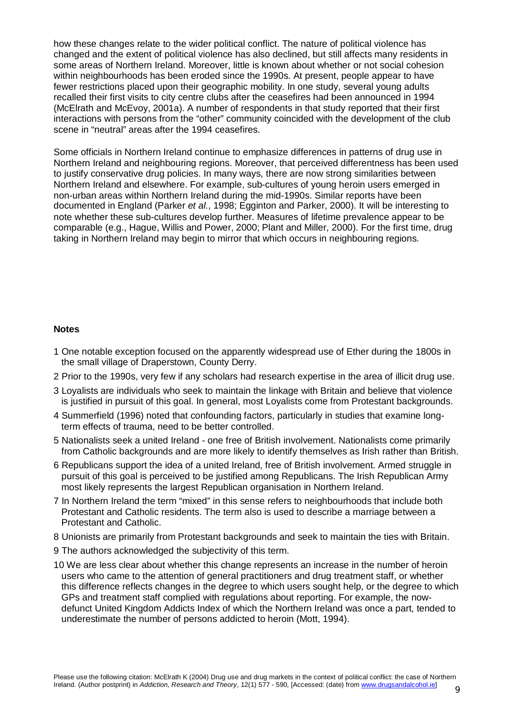how these changes relate to the wider political conflict. The nature of political violence has changed and the extent of political violence has also declined, but still affects many residents in some areas of Northern Ireland. Moreover, little is known about whether or not social cohesion within neighbourhoods has been eroded since the 1990s. At present, people appear to have fewer restrictions placed upon their geographic mobility. In one study, several young adults recalled their first visits to city centre clubs after the ceasefires had been announced in 1994 (McElrath and McEvoy, 2001a). A number of respondents in that study reported that their first interactions with persons from the "other" community coincided with the development of the club scene in "neutral" areas after the 1994 ceasefires.

Some officials in Northern Ireland continue to emphasize differences in patterns of drug use in Northern Ireland and neighbouring regions. Moreover, that perceived differentness has been used to justify conservative drug policies. In many ways, there are now strong similarities between Northern Ireland and elsewhere. For example, sub-cultures of young heroin users emerged in non-urban areas within Northern Ireland during the mid-1990s. Similar reports have been documented in England (Parker *et al.*, 1998; Egginton and Parker, 2000). It will be interesting to note whether these sub-cultures develop further. Measures of lifetime prevalence appear to be comparable (e.g., Hague, Willis and Power, 2000; Plant and Miller, 2000). For the first time, drug taking in Northern Ireland may begin to mirror that which occurs in neighbouring regions.

#### **Notes**

- 1 One notable exception focused on the apparently widespread use of Ether during the 1800s in the small village of Draperstown, County Derry.
- 2 Prior to the 1990s, very few if any scholars had research expertise in the area of illicit drug use.
- 3 Loyalists are individuals who seek to maintain the linkage with Britain and believe that violence is justified in pursuit of this goal. In general, most Loyalists come from Protestant backgrounds.
- 4 Summerfield (1996) noted that confounding factors, particularly in studies that examine longterm effects of trauma, need to be better controlled.
- 5 Nationalists seek a united Ireland one free of British involvement. Nationalists come primarily from Catholic backgrounds and are more likely to identify themselves as Irish rather than British.
- 6 Republicans support the idea of a united Ireland, free of British involvement. Armed struggle in pursuit of this goal is perceived to be justified among Republicans. The Irish Republican Army most likely represents the largest Republican organisation in Northern Ireland.
- 7 In Northern Ireland the term "mixed" in this sense refers to neighbourhoods that include both Protestant and Catholic residents. The term also is used to describe a marriage between a Protestant and Catholic.
- 8 Unionists are primarily from Protestant backgrounds and seek to maintain the ties with Britain.
- 9 The authors acknowledged the subjectivity of this term.
- 10 We are less clear about whether this change represents an increase in the number of heroin users who came to the attention of general practitioners and drug treatment staff, or whether this difference reflects changes in the degree to which users sought help, or the degree to which GPs and treatment staff complied with regulations about reporting. For example, the nowdefunct United Kingdom Addicts Index of which the Northern Ireland was once a part, tended to underestimate the number of persons addicted to heroin (Mott, 1994).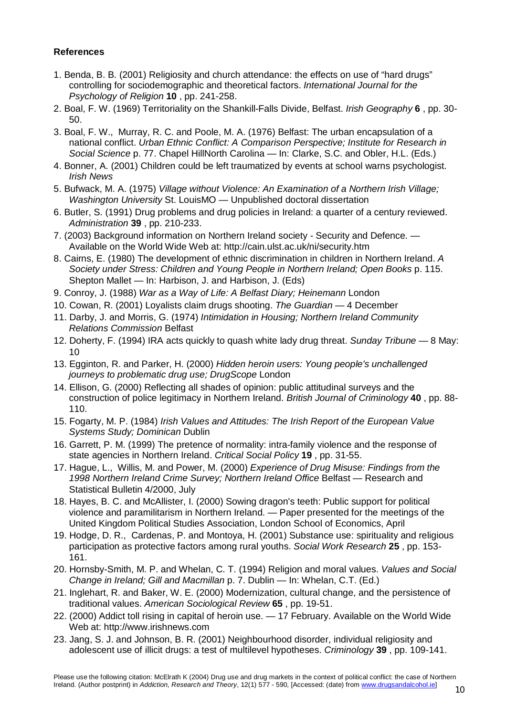# **References**

- 1. Benda, B. B. (2001) Religiosity and church attendance: the effects on use of "hard drugs" controlling for sociodemographic and theoretical factors. *International Journal for the Psychology of Religion* **10** , pp. 241-258.
- 2. Boal, F. W. (1969) Territoriality on the Shankill-Falls Divide, Belfast. *Irish Geography* **6** , pp. 30- 50.
- 3. Boal, F. W., Murray, R. C. and Poole, M. A. (1976) Belfast: The urban encapsulation of a national conflict. *Urban Ethnic Conflict: A Comparison Perspective; Institute for Research in Social Science* p. 77. Chapel HillNorth Carolina — In: Clarke, S.C. and Obler, H.L. (Eds.)
- 4. Bonner, A. (2001) Children could be left traumatized by events at school warns psychologist. *Irish News*
- 5. Bufwack, M. A. (1975) *Village without Violence: An Examination of a Northern Irish Village; Washington University* St. LouisMO — Unpublished doctoral dissertation
- 6. Butler, S. (1991) Drug problems and drug policies in Ireland: a quarter of a century reviewed. *Administration* **39** , pp. 210-233.
- 7. (2003) Background information on Northern Ireland society Security and Defence. Available on the World Wide Web at: http://cain.ulst.ac.uk/ni/security.htm
- 8. Cairns, E. (1980) The development of ethnic discrimination in children in Northern Ireland. *A Society under Stress: Children and Young People in Northern Ireland; Open Books* p. 115. Shepton Mallet — In: Harbison, J. and Harbison, J. (Eds)
- 9. Conroy, J. (1988) *War as a Way of Life: A Belfast Diary; Heinemann* London
- 10. Cowan, R. (2001) Loyalists claim drugs shooting. *The Guardian* 4 December
- 11. Darby, J. and Morris, G. (1974) *Intimidation in Housing; Northern Ireland Community Relations Commission* Belfast
- 12. Doherty, F. (1994) IRA acts quickly to quash white lady drug threat. *Sunday Tribune* 8 May: 10
- 13. Egginton, R. and Parker, H. (2000) *Hidden heroin users: Young people's unchallenged journeys to problematic drug use; DrugScope* London
- 14. Ellison, G. (2000) Reflecting all shades of opinion: public attitudinal surveys and the construction of police legitimacy in Northern Ireland. *British Journal of Criminology* **40** , pp. 88- 110.
- 15. Fogarty, M. P. (1984) *Irish Values and Attitudes: The Irish Report of the European Value Systems Study; Dominican* Dublin
- 16. Garrett, P. M. (1999) The pretence of normality: intra-family violence and the response of state agencies in Northern Ireland. *Critical Social Policy* **19** , pp. 31-55.
- 17. Hague, L., Willis, M. and Power, M. (2000) *Experience of Drug Misuse: Findings from the 1998 Northern Ireland Crime Survey; Northern Ireland Office* Belfast — Research and Statistical Bulletin 4/2000, July
- 18. Hayes, B. C. and McAllister, I. (2000) Sowing dragon's teeth: Public support for political violence and paramilitarism in Northern Ireland. — Paper presented for the meetings of the United Kingdom Political Studies Association, London School of Economics, April
- 19. Hodge, D. R., Cardenas, P. and Montoya, H. (2001) Substance use: spirituality and religious participation as protective factors among rural youths. *Social Work Research* **25** , pp. 153- 161.
- 20. Hornsby-Smith, M. P. and Whelan, C. T. (1994) Religion and moral values. *Values and Social Change in Ireland; Gill and Macmillan* p. 7. Dublin — In: Whelan, C.T. (Ed.)
- 21. Inglehart, R. and Baker, W. E. (2000) Modernization, cultural change, and the persistence of traditional values. *American Sociological Review* **65** , pp. 19-51.
- 22. (2000) Addict toll rising in capital of heroin use. 17 February. Available on the World Wide Web at: http://www.irishnews.com
- 23. Jang, S. J. and Johnson, B. R. (2001) Neighbourhood disorder, individual religiosity and adolescent use of illicit drugs: a test of multilevel hypotheses. *Criminology* **39** , pp. 109-141.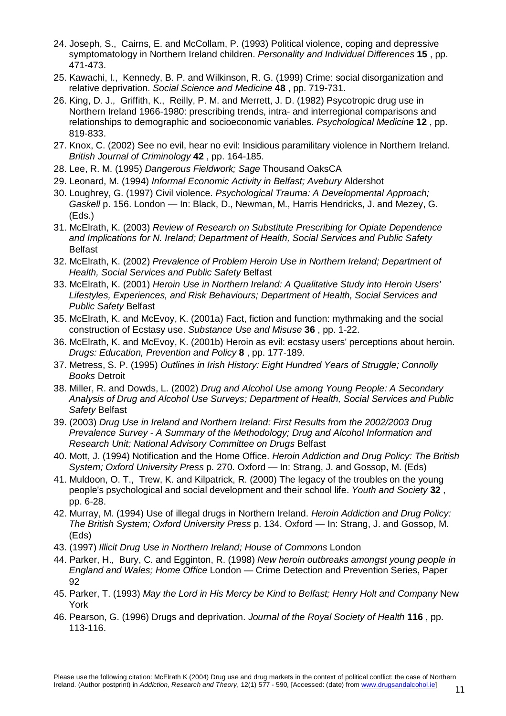- 24. Joseph, S., Cairns, E. and McCollam, P. (1993) Political violence, coping and depressive symptomatology in Northern Ireland children. *Personality and Individual Differences* **15** , pp. 471-473.
- 25. Kawachi, I., Kennedy, B. P. and Wilkinson, R. G. (1999) Crime: social disorganization and relative deprivation. *Social Science and Medicine* **48** , pp. 719-731.
- 26. King, D. J., Griffith, K., Reilly, P. M. and Merrett, J. D. (1982) Psycotropic drug use in Northern Ireland 1966-1980: prescribing trends, intra- and interregional comparisons and relationships to demographic and socioeconomic variables. *Psychological Medicine* **12** , pp. 819-833.
- 27. Knox, C. (2002) See no evil, hear no evil: Insidious paramilitary violence in Northern Ireland. *British Journal of Criminology* **42** , pp. 164-185.
- 28. Lee, R. M. (1995) *Dangerous Fieldwork; Sage* Thousand OaksCA
- 29. Leonard, M. (1994) *Informal Economic Activity in Belfast; Avebury* Aldershot
- 30. Loughrey, G. (1997) Civil violence. *Psychological Trauma: A Developmental Approach; Gaskell* p. 156. London — In: Black, D., Newman, M., Harris Hendricks, J. and Mezey, G. (Eds.)
- 31. McElrath, K. (2003) *Review of Research on Substitute Prescribing for Opiate Dependence and Implications for N. Ireland; Department of Health, Social Services and Public Safety* **Belfast**
- 32. McElrath, K. (2002) *Prevalence of Problem Heroin Use in Northern Ireland; Department of Health, Social Services and Public Safety* Belfast
- 33. McElrath, K. (2001) *Heroin Use in Northern Ireland: A Qualitative Study into Heroin Users' Lifestyles, Experiences, and Risk Behaviours; Department of Health, Social Services and Public Safety* Belfast
- 35. McElrath, K. and McEvoy, K. (2001a) Fact, fiction and function: mythmaking and the social construction of Ecstasy use. *Substance Use and Misuse* **36** , pp. 1-22.
- 36. McElrath, K. and McEvoy, K. (2001b) Heroin as evil: ecstasy users' perceptions about heroin. *Drugs: Education, Prevention and Policy* **8** , pp. 177-189.
- 37. Metress, S. P. (1995) *Outlines in Irish History: Eight Hundred Years of Struggle; Connolly Books* Detroit
- 38. Miller, R. and Dowds, L. (2002) *Drug and Alcohol Use among Young People: A Secondary Analysis of Drug and Alcohol Use Surveys; Department of Health, Social Services and Public Safety* Belfast
- 39. (2003) *Drug Use in Ireland and Northern Ireland: First Results from the 2002/2003 Drug Prevalence Survey - A Summary of the Methodology; Drug and Alcohol Information and Research Unit; National Advisory Committee on Drugs* Belfast
- 40. Mott, J. (1994) Notification and the Home Office. *Heroin Addiction and Drug Policy: The British System; Oxford University Press* p. 270. Oxford — In: Strang, J. and Gossop, M. (Eds)
- 41. Muldoon, O. T., Trew, K. and Kilpatrick, R. (2000) The legacy of the troubles on the young people's psychological and social development and their school life. *Youth and Society* **32** , pp. 6-28.
- 42. Murray, M. (1994) Use of illegal drugs in Northern Ireland. *Heroin Addiction and Drug Policy: The British System; Oxford University Press* p. 134. Oxford — In: Strang, J. and Gossop, M. (Eds)
- 43. (1997) *Illicit Drug Use in Northern Ireland; House of Commons* London
- 44. Parker, H., Bury, C. and Egginton, R. (1998) *New heroin outbreaks amongst young people in England and Wales; Home Office* London — Crime Detection and Prevention Series, Paper 92
- 45. Parker, T. (1993) *May the Lord in His Mercy be Kind to Belfast; Henry Holt and Company* New York
- 46. Pearson, G. (1996) Drugs and deprivation. *Journal of the Royal Society of Health* **116** , pp. 113-116.